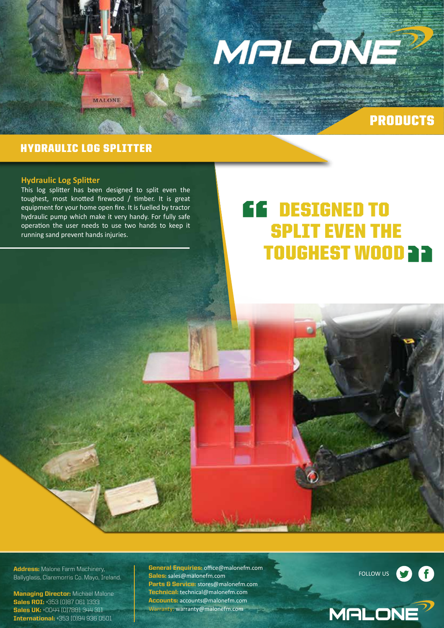

## PRODUCTS

### HYDRAULIC LOG SPLITTER

#### **Hydraulic Log Splitter**

This log splitter has been designed to split even the toughest, most knotted firewood / timber. It is great equipment for your home open fire. It is fuelled by tractor hydraulic pump which make it very handy. For fully safe operation the user needs to use two hands to keep it running sand prevent hands injuries.

**MALONE** 

# DESIGNED TO SPLIT EVEN THE TOUGHEST WOOD **a a** "

Address: Malone Farm Machinery, Ballyglass, Claremorris Co. Mayo, Ireland.

**Managing Director:** Michael Malone Sales ROI: +353 (0)87 061 1333 Sales UK: +0044 (0)7881 344 311 International: +353 (0)94 936 0501

**General Enquiries: office@malonefm.com** Sales: sales@malonefm.com Parts & Service: stores@malonefm.com Technical: technical@malonefm.com Accounts: accounts@malonefm.com Warranty: warranty@malonefm.com